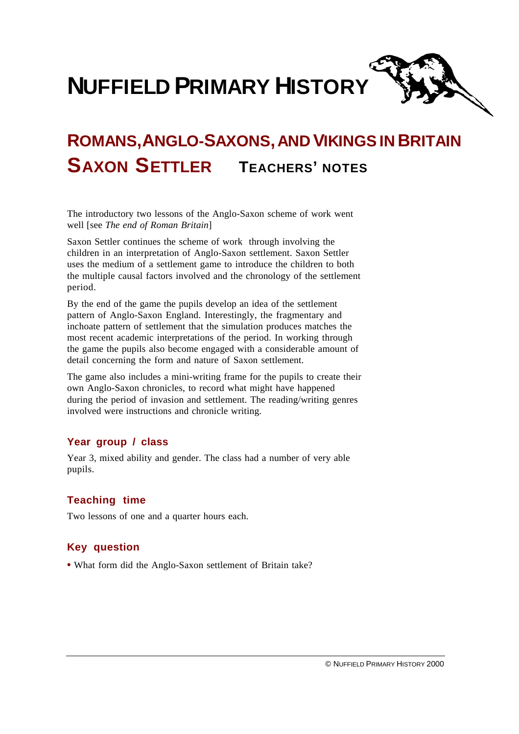**NUFFIELD PRIMARY HISTORY**

# **ROMANS,ANGLO-SAXONS,AND VIKINGSIN BRITAIN SAXON SETTLER TEACHERS' NOTES**

The introductory two lessons of the Anglo-Saxon scheme of work went well [see *The end of Roman Britain*]

Saxon Settler continues the scheme of work through involving the children in an interpretation of Anglo-Saxon settlement. Saxon Settler uses the medium of a settlement game to introduce the children to both the multiple causal factors involved and the chronology of the settlement period.

By the end of the game the pupils develop an idea of the settlement pattern of Anglo-Saxon England. Interestingly, the fragmentary and inchoate pattern of settlement that the simulation produces matches the most recent academic interpretations of the period. In working through the game the pupils also become engaged with a considerable amount of detail concerning the form and nature of Saxon settlement.

The game also includes a mini-writing frame for the pupils to create their own Anglo-Saxon chronicles, to record what might have happened during the period of invasion and settlement. The reading/writing genres involved were instructions and chronicle writing.

## **Year group / class**

Year 3, mixed ability and gender. The class had a number of very able pupils.

# **Teaching time**

Two lessons of one and a quarter hours each.

## **Key question**

**•** What form did the Anglo-Saxon settlement of Britain take?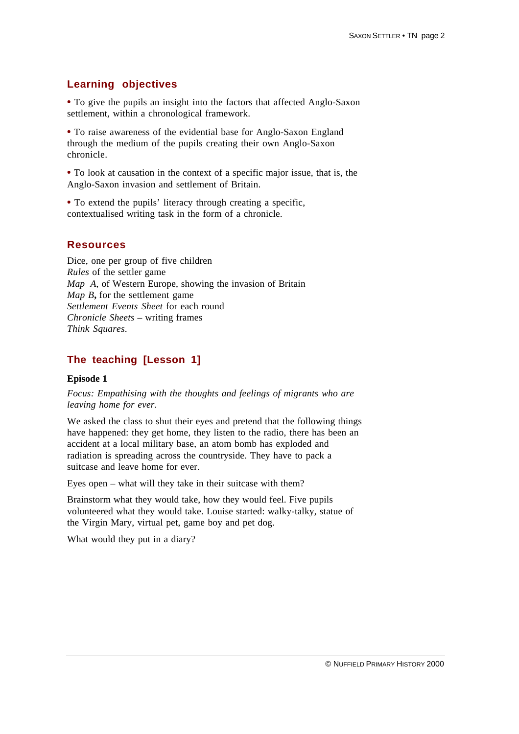# **Learning objectives**

• To give the pupils an insight into the factors that affected Anglo-Saxon settlement, within a chronological framework.

**•** To raise awareness of the evidential base for Anglo-Saxon England through the medium of the pupils creating their own Anglo-Saxon chronicle.

**•** To look at causation in the context of a specific major issue, that is, the Anglo-Saxon invasion and settlement of Britain.

**•** To extend the pupils' literacy through creating a specific, contextualised writing task in the form of a chronicle.

# **Resources**

Dice, one per group of five children *Rules* of the settler game *Map A*, of Western Europe, showing the invasion of Britain *Map B***,** for the settlement game *Settlement Events Sheet* for each round *Chronicle Sheets* – writing frames *Think Squares*.

# **The teaching [Lesson 1]**

#### **Episode 1**

*Focus: Empathising with the thoughts and feelings of migrants who are leaving home for ever.*

We asked the class to shut their eyes and pretend that the following things have happened: they get home, they listen to the radio, there has been an accident at a local military base, an atom bomb has exploded and radiation is spreading across the countryside. They have to pack a suitcase and leave home for ever.

Eyes open – what will they take in their suitcase with them?

Brainstorm what they would take, how they would feel. Five pupils volunteered what they would take. Louise started: walky-talky, statue of the Virgin Mary, virtual pet, game boy and pet dog.

What would they put in a diary?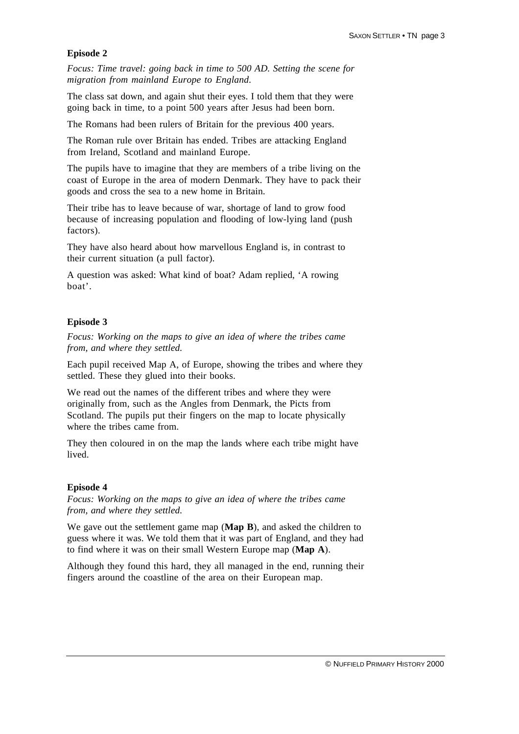## **Episode 2**

*Focus: Time travel: going back in time to 500 AD. Setting the scene for migration from mainland Europe to England.*

The class sat down, and again shut their eyes. I told them that they were going back in time, to a point 500 years after Jesus had been born.

The Romans had been rulers of Britain for the previous 400 years.

The Roman rule over Britain has ended. Tribes are attacking England from Ireland, Scotland and mainland Europe.

The pupils have to imagine that they are members of a tribe living on the coast of Europe in the area of modern Denmark. They have to pack their goods and cross the sea to a new home in Britain.

Their tribe has to leave because of war, shortage of land to grow food because of increasing population and flooding of low-lying land (push factors).

They have also heard about how marvellous England is, in contrast to their current situation (a pull factor).

A question was asked: What kind of boat? Adam replied, 'A rowing boat'.

## **Episode 3**

*Focus: Working on the maps to give an idea of where the tribes came from, and where they settled.*

Each pupil received Map A, of Europe, showing the tribes and where they settled. These they glued into their books.

We read out the names of the different tribes and where they were originally from, such as the Angles from Denmark, the Picts from Scotland. The pupils put their fingers on the map to locate physically where the tribes came from.

They then coloured in on the map the lands where each tribe might have lived.

#### **Episode 4**

*Focus: Working on the maps to give an idea of where the tribes came from, and where they settled.*

We gave out the settlement game map (**Map B**), and asked the children to guess where it was. We told them that it was part of England, and they had to find where it was on their small Western Europe map (**Map A**).

Although they found this hard, they all managed in the end, running their fingers around the coastline of the area on their European map.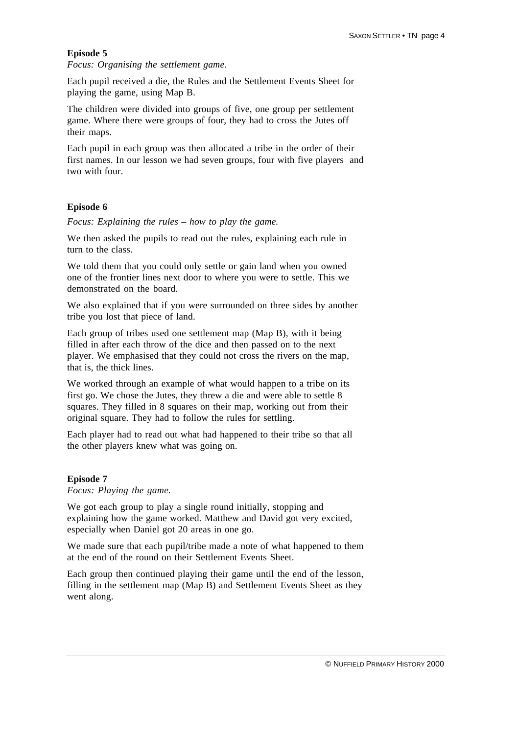#### **Episode 5**

*Focus: Organising the settlement game.*

Each pupil received a die, the Rules and the Settlement Events Sheet for playing the game, using Map B.

The children were divided into groups of five, one group per settlement game. Where there were groups of four, they had to cross the Jutes off their maps.

Each pupil in each group was then allocated a tribe in the order of their first names. In our lesson we had seven groups, four with five players and two with four.

#### **Episode 6**

*Focus: Explaining the rules – how to play the game.*

We then asked the pupils to read out the rules, explaining each rule in turn to the class.

We told them that you could only settle or gain land when you owned one of the frontier lines next door to where you were to settle. This we demonstrated on the board.

We also explained that if you were surrounded on three sides by another tribe you lost that piece of land.

Each group of tribes used one settlement map (Map B), with it being filled in after each throw of the dice and then passed on to the next player. We emphasised that they could not cross the rivers on the map, that is, the thick lines.

We worked through an example of what would happen to a tribe on its first go. We chose the Jutes, they threw a die and were able to settle 8 squares. They filled in 8 squares on their map, working out from their original square. They had to follow the rules for settling.

Each player had to read out what had happened to their tribe so that all the other players knew what was going on.

#### **Episode 7**

*Focus: Playing the game.*

We got each group to play a single round initially, stopping and explaining how the game worked. Matthew and David got very excited, especially when Daniel got 20 areas in one go.

We made sure that each pupil/tribe made a note of what happened to them at the end of the round on their Settlement Events Sheet.

Each group then continued playing their game until the end of the lesson, filling in the settlement map (Map B) and Settlement Events Sheet as they went along.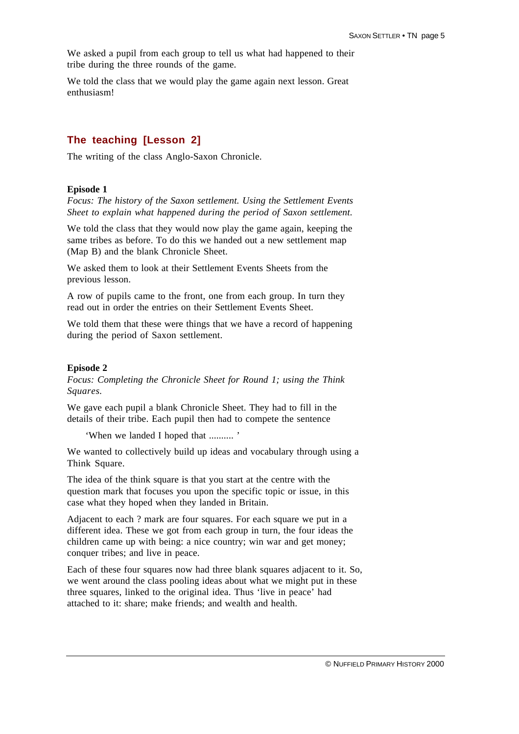We asked a pupil from each group to tell us what had happened to their tribe during the three rounds of the game.

We told the class that we would play the game again next lesson. Great enthusiasm!

# **The teaching [Lesson 2]**

The writing of the class Anglo-Saxon Chronicle.

#### **Episode 1**

*Focus: The history of the Saxon settlement. Using the Settlement Events Sheet to explain what happened during the period of Saxon settlement.*

We told the class that they would now play the game again, keeping the same tribes as before. To do this we handed out a new settlement map (Map B) and the blank Chronicle Sheet.

We asked them to look at their Settlement Events Sheets from the previous lesson.

A row of pupils came to the front, one from each group. In turn they read out in order the entries on their Settlement Events Sheet.

We told them that these were things that we have a record of happening during the period of Saxon settlement.

#### **Episode 2**

*Focus: Completing the Chronicle Sheet for Round 1; using the Think Squares.*

We gave each pupil a blank Chronicle Sheet. They had to fill in the details of their tribe. Each pupil then had to compete the sentence

'When we landed I hoped that .......... '

We wanted to collectively build up ideas and vocabulary through using a Think Square.

The idea of the think square is that you start at the centre with the question mark that focuses you upon the specific topic or issue, in this case what they hoped when they landed in Britain.

Adjacent to each ? mark are four squares. For each square we put in a different idea. These we got from each group in turn, the four ideas the children came up with being: a nice country; win war and get money; conquer tribes; and live in peace.

Each of these four squares now had three blank squares adjacent to it. So, we went around the class pooling ideas about what we might put in these three squares, linked to the original idea. Thus 'live in peace' had attached to it: share; make friends; and wealth and health.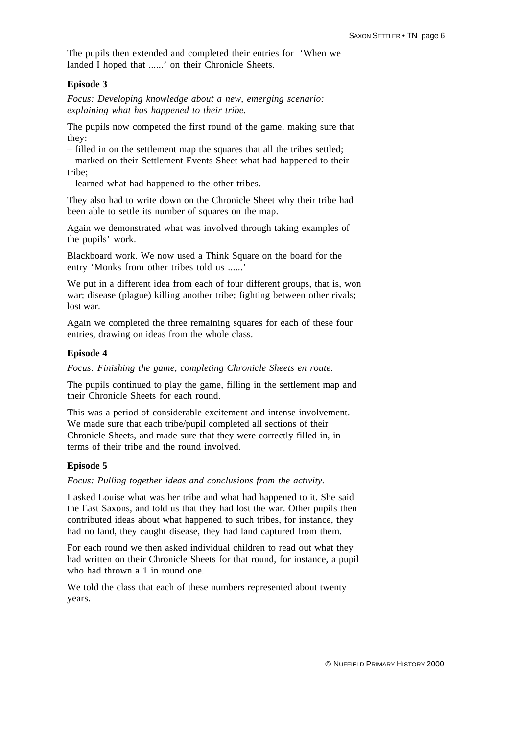The pupils then extended and completed their entries for 'When we landed I hoped that ......' on their Chronicle Sheets.

## **Episode 3**

*Focus: Developing knowledge about a new, emerging scenario: explaining what has happened to their tribe.*

The pupils now competed the first round of the game, making sure that they:

– filled in on the settlement map the squares that all the tribes settled;

– marked on their Settlement Events Sheet what had happened to their tribe;

– learned what had happened to the other tribes.

They also had to write down on the Chronicle Sheet why their tribe had been able to settle its number of squares on the map.

Again we demonstrated what was involved through taking examples of the pupils' work.

Blackboard work. We now used a Think Square on the board for the entry 'Monks from other tribes told us ......'

We put in a different idea from each of four different groups, that is, won war; disease (plague) killing another tribe; fighting between other rivals; lost war.

Again we completed the three remaining squares for each of these four entries, drawing on ideas from the whole class.

#### **Episode 4**

*Focus: Finishing the game, completing Chronicle Sheets en route.*

The pupils continued to play the game, filling in the settlement map and their Chronicle Sheets for each round.

This was a period of considerable excitement and intense involvement. We made sure that each tribe/pupil completed all sections of their Chronicle Sheets, and made sure that they were correctly filled in, in terms of their tribe and the round involved.

## **Episode 5**

*Focus: Pulling together ideas and conclusions from the activity.*

I asked Louise what was her tribe and what had happened to it. She said the East Saxons, and told us that they had lost the war. Other pupils then contributed ideas about what happened to such tribes, for instance, they had no land, they caught disease, they had land captured from them.

For each round we then asked individual children to read out what they had written on their Chronicle Sheets for that round, for instance, a pupil who had thrown a 1 in round one.

We told the class that each of these numbers represented about twenty years.